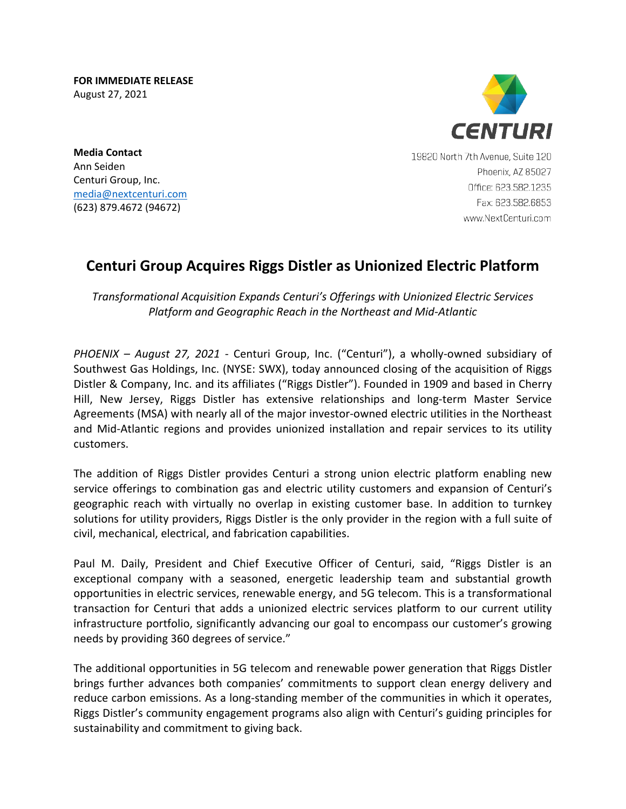**FOR IMMEDIATE RELEASE** August 27, 2021



**Media Contact** Ann Seiden Centuri Group, Inc. [media@nextcenturi.com](mailto:media@nextcenturi.com) [\(623\) 879.4672](tel:623.879.4672) (94672)

19820 North 7th Avenue, Suite 120 Phoenix, AZ 85027 Office: 623.582.1235 Fax: 623.582.6853 www.NextCenturi.com

## **Centuri Group Acquires Riggs Distler as Unionized Electric Platform**

*Transformational Acquisition Expands Centuri's Offerings with Unionized Electric Services Platform and Geographic Reach in the Northeast and Mid-Atlantic*

*PHOENIX – August 27, 2021* - Centuri Group, Inc. ("Centuri"), a wholly-owned subsidiary of Southwest Gas Holdings, Inc. (NYSE: SWX), today announced closing of the acquisition of Riggs Distler & Company, Inc. and its affiliates ("Riggs Distler"). Founded in 1909 and based in Cherry Hill, New Jersey, Riggs Distler has extensive relationships and long-term Master Service Agreements (MSA) with nearly all of the major investor-owned electric utilities in the Northeast and Mid-Atlantic regions and provides unionized installation and repair services to its utility customers.

The addition of Riggs Distler provides Centuri a strong union electric platform enabling new service offerings to combination gas and electric utility customers and expansion of Centuri's geographic reach with virtually no overlap in existing customer base. In addition to turnkey solutions for utility providers, Riggs Distler is the only provider in the region with a full suite of civil, mechanical, electrical, and fabrication capabilities.

Paul M. Daily, President and Chief Executive Officer of Centuri, said, "Riggs Distler is an exceptional company with a seasoned, energetic leadership team and substantial growth opportunities in electric services, renewable energy, and 5G telecom. This is a transformational transaction for Centuri that adds a unionized electric services platform to our current utility infrastructure portfolio, significantly advancing our goal to encompass our customer's growing needs by providing 360 degrees of service."

The additional opportunities in 5G telecom and renewable power generation that Riggs Distler brings further advances both companies' commitments to support clean energy delivery and reduce carbon emissions. As a long-standing member of the communities in which it operates, Riggs Distler's community engagement programs also align with Centuri's guiding principles for sustainability and commitment to giving back.